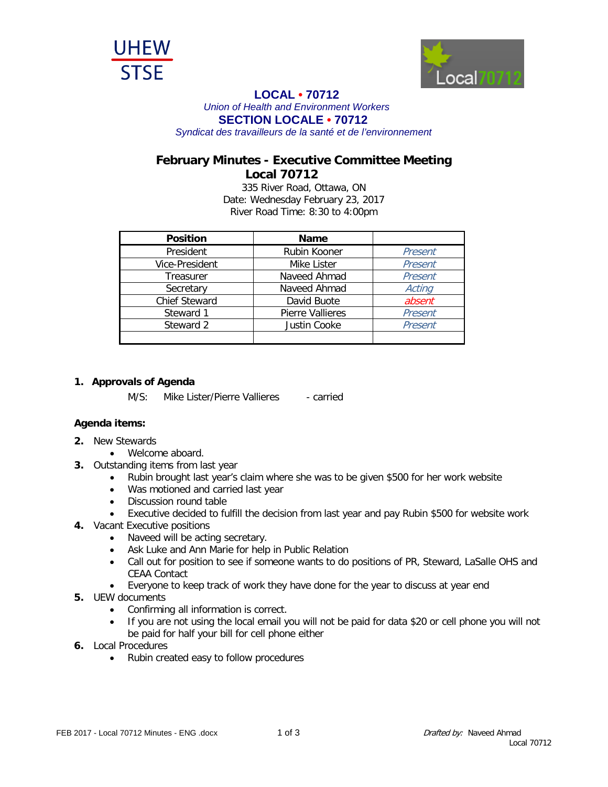



## **LOCAL • <sup>70712</sup>**

*Union of Health and Environment Workers*

**SECTION LOCALE • 70712**

*Syndicat des travailleurs de la santé et de l'environnement*

## **February Minutes - Executive Committee Meeting Local 70712**

335 River Road, Ottawa, ON Date: Wednesday February 23, 2017 River Road Time: 8:30 to 4:00pm

| <b>Position</b>      | <b>Name</b>             |         |
|----------------------|-------------------------|---------|
| President            | Rubin Kooner            | Present |
| Vice-President       | Mike Lister             | Present |
| Treasurer            | Naveed Ahmad            | Present |
| Secretary            | Naveed Ahmad            | Acting  |
| <b>Chief Steward</b> | David Buote             | absent  |
| Steward 1            | <b>Pierre Vallieres</b> | Present |
| Steward 2            | Justin Cooke            | Present |
|                      |                         |         |

## **1. Approvals of Agenda**

M/S: Mike Lister/Pierre Vallieres - carried

## **Agenda items:**

- **2.** New Stewards
	- Welcome aboard.
- **3.** Outstanding items from last year
	- Rubin brought last year's claim where she was to be given \$500 for her work website
	- Was motioned and carried last year
	- Discussion round table
	- Executive decided to fulfill the decision from last year and pay Rubin \$500 for website work
- **4.** Vacant Executive positions
	- Naveed will be acting secretary.
	- Ask Luke and Ann Marie for help in Public Relation
	- Call out for position to see if someone wants to do positions of PR, Steward, LaSalle OHS and CEAA Contact
	- Everyone to keep track of work they have done for the year to discuss at year end
- **5.** UEW documents
	- Confirming all information is correct.
	- If you are not using the local email you will not be paid for data \$20 or cell phone you will not be paid for half your bill for cell phone either
- **6.** Local Procedures
	- Rubin created easy to follow procedures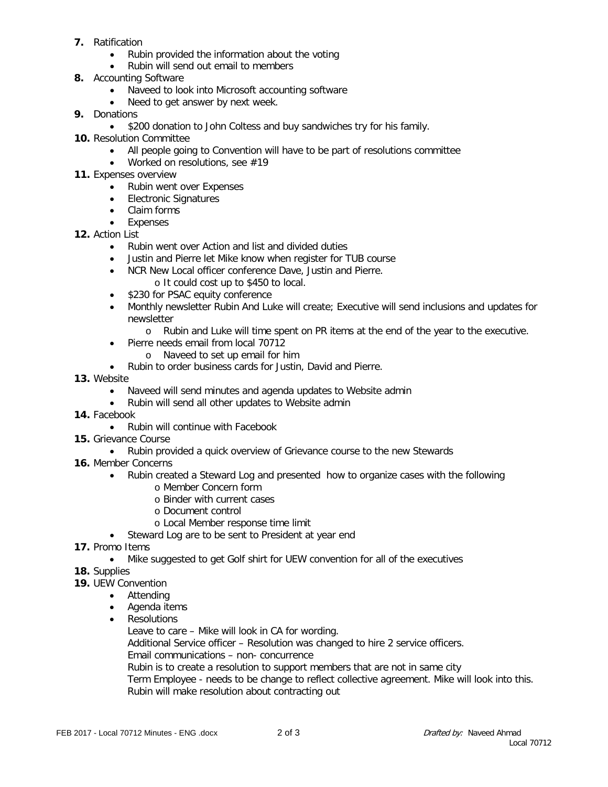- **7.** Ratification
	- Rubin provided the information about the voting
	- Rubin will send out email to members
- **8.** Accounting Software
	- Naveed to look into Microsoft accounting software
	- Need to get answer by next week.
- **9.** Donations
	- \$200 donation to John Coltess and buy sandwiches try for his family.
- **10.** Resolution Committee
	- All people going to Convention will have to be part of resolutions committee
	- Worked on resolutions, see #19
- **11.** Expenses overview
	- Rubin went over Expenses
	- Electronic Signatures
	- Claim forms
	- Expenses
- **12.** Action List
	- Rubin went over Action and list and divided duties
	- Justin and Pierre let Mike know when register for TUB course
	- NCR New Local officer conference Dave, Justin and Pierre. o It could cost up to \$450 to local.
	- \$230 for PSAC equity conference
	- Monthly newsletter Rubin And Luke will create; Executive will send inclusions and updates for newsletter
		- o Rubin and Luke will time spent on PR items at the end of the year to the executive.
	- Pierre needs email from local 70712
		- o Naveed to set up email for him
	- Rubin to order business cards for Justin, David and Pierre.
- **13.** Website
	- Naveed will send minutes and agenda updates to Website admin
	- Rubin will send all other updates to Website admin
- **14.** Facebook
	- Rubin will continue with Facebook
- **15.** Grievance Course
	- Rubin provided a quick overview of Grievance course to the new Stewards
- **16.** Member Concerns
	- Rubin created a Steward Log and presented how to organize cases with the following
		- o Member Concern form
			- o Binder with current cases
			- o Document control
		- o Local Member response time limit
	- Steward Log are to be sent to President at year end
- **17.** Promo Items
	- Mike suggested to get Golf shirt for UEW convention for all of the executives
- **18.** Supplies
- **19.** UEW Convention
	- Attending
	- Agenda items
	- Resolutions

Leave to care – Mike will look in CA for wording.

Additional Service officer – Resolution was changed to hire 2 service officers.

Email communications – non- concurrence

Rubin is to create a resolution to support members that are not in same city

Term Employee - needs to be change to reflect collective agreement. Mike will look into this. Rubin will make resolution about contracting out